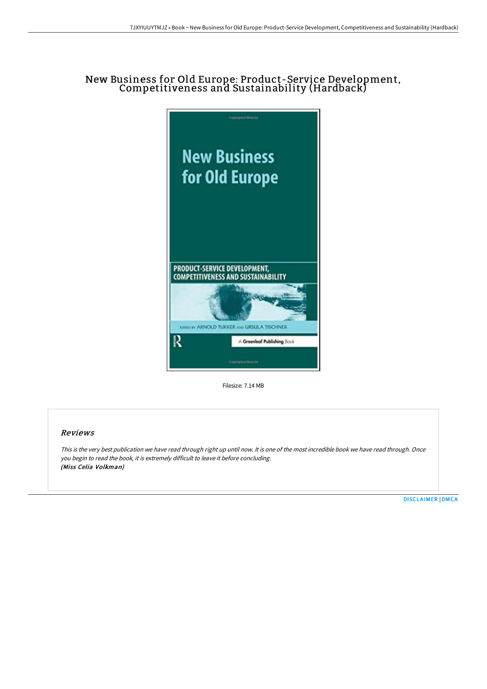# New Business for Old Europe: Product-Service Development, Competitiveness and Sustainability (Hardback)



Filesize: 7.14 MB

## Reviews

This is the very best publication we have read through right up until now. It is one of the most incredible book we have read through. Once you begin to read the book, it is extremely difficult to leave it before concluding. (Miss Celia Volkman)

[DISCLAIMER](http://www.bookdirs.com/disclaimer.html) | [DMCA](http://www.bookdirs.com/dmca.html)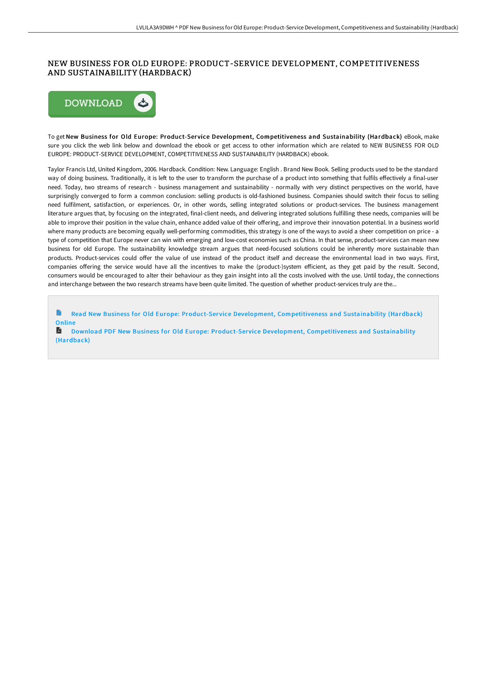## NEW BUSINESS FOR OLD EUROPE: PRODUCT-SERVICE DEVELOPMENT, COMPETITIVENESS AND SUSTAINABILITY (HARDBACK)



To get New Business for Old Europe: Product-Service Development, Competitiveness and Sustainability (Hardback) eBook, make sure you click the web link below and download the ebook or get access to other information which are related to NEW BUSINESS FOR OLD EUROPE: PRODUCT-SERVICE DEVELOPMENT, COMPETITIVENESS AND SUSTAINABILITY (HARDBACK) ebook.

Taylor Francis Ltd, United Kingdom, 2006. Hardback. Condition: New. Language: English . Brand New Book. Selling products used to be the standard way of doing business. Traditionally, it is left to the user to transform the purchase of a product into something that fulfils effectively a final-user need. Today, two streams of research - business management and sustainability - normally with very distinct perspectives on the world, have surprisingly converged to form a common conclusion: selling products is old-fashioned business. Companies should switch their focus to selling need fulfilment, satisfaction, or experiences. Or, in other words, selling integrated solutions or product-services. The business management literature argues that, by focusing on the integrated, final-client needs, and delivering integrated solutions fulfilling these needs, companies will be able to improve their position in the value chain, enhance added value of their offering, and improve their innovation potential. In a business world where many products are becoming equally well-performing commodities, this strategy is one of the ways to avoid a sheer competition on price - a type of competition that Europe never can win with emerging and low-cost economies such as China. In that sense, product-services can mean new business for old Europe. The sustainability knowledge stream argues that need-focused solutions could be inherently more sustainable than products. Product-services could offer the value of use instead of the product itself and decrease the environmental load in two ways. First, companies offering the service would have all the incentives to make the (product-)system efficient, as they get paid by the result. Second, consumers would be encouraged to alter their behaviour as they gain insight into all the costs involved with the use. Until today, the connections and interchange between the two research streams have been quite limited. The question of whether product-services truly are the...

 $\mathbf{B}$ Read New Business for Old Europe: Product-Service Development, [Competitiveness](http://www.bookdirs.com/new-business-for-old-europe-product-service-deve.html) and Sustainability (Hardback) Online

**Download PDF New Business for Old Europe: Product-Service Development, [Competitiveness](http://www.bookdirs.com/new-business-for-old-europe-product-service-deve.html) and Sustainability** (Hardback)